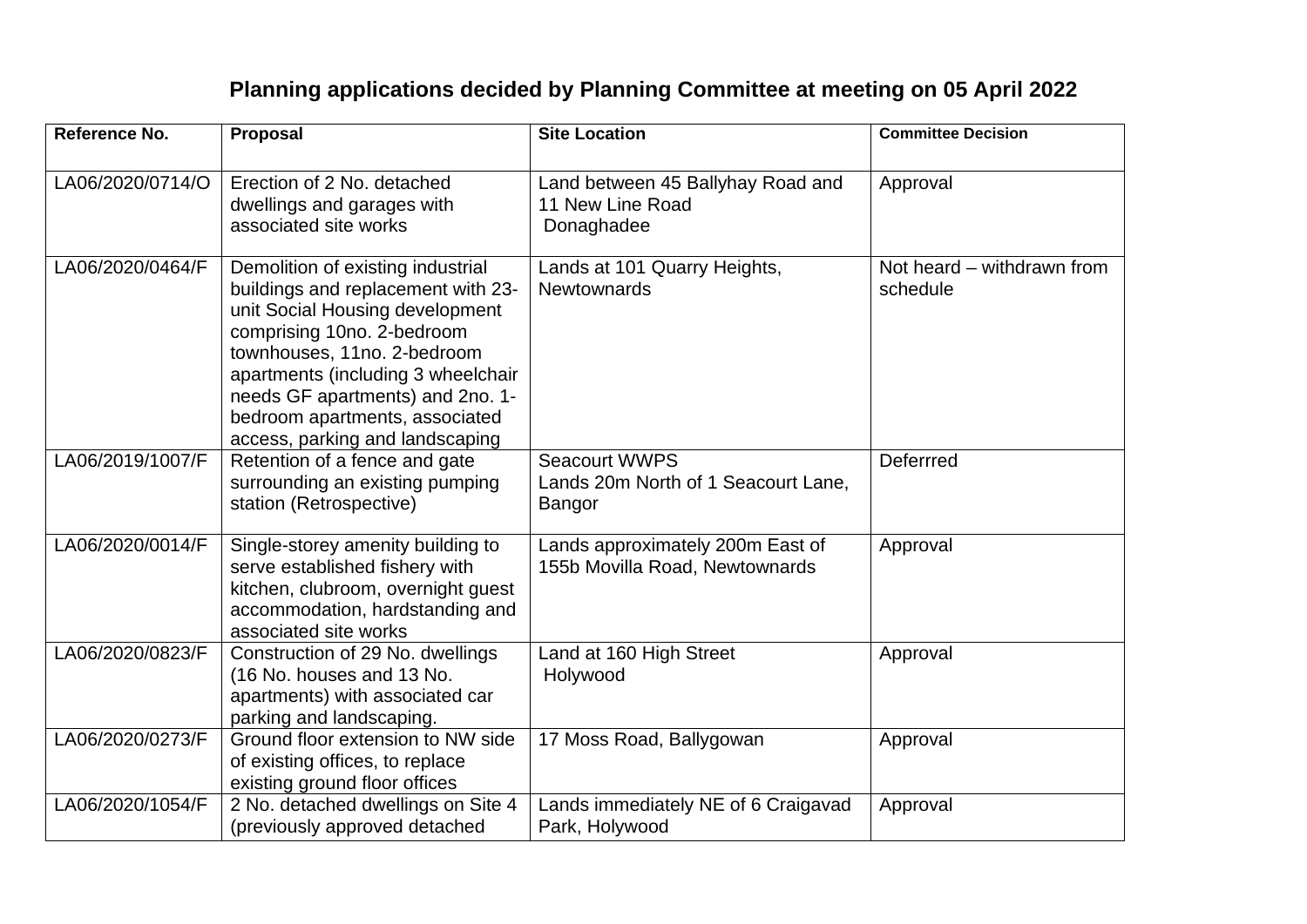## **Planning applications decided by Planning Committee at meeting on 05 April 2022**

| Reference No.    | Proposal                                                                                                                                                                                                                                                                                                               | <b>Site Location</b>                                                  | <b>Committee Decision</b>              |
|------------------|------------------------------------------------------------------------------------------------------------------------------------------------------------------------------------------------------------------------------------------------------------------------------------------------------------------------|-----------------------------------------------------------------------|----------------------------------------|
| LA06/2020/0714/O | Erection of 2 No. detached<br>dwellings and garages with<br>associated site works                                                                                                                                                                                                                                      | Land between 45 Ballyhay Road and<br>11 New Line Road<br>Donaghadee   | Approval                               |
| LA06/2020/0464/F | Demolition of existing industrial<br>buildings and replacement with 23-<br>unit Social Housing development<br>comprising 10no. 2-bedroom<br>townhouses, 11no. 2-bedroom<br>apartments (including 3 wheelchair<br>needs GF apartments) and 2no. 1-<br>bedroom apartments, associated<br>access, parking and landscaping | Lands at 101 Quarry Heights,<br><b>Newtownards</b>                    | Not heard – withdrawn from<br>schedule |
| LA06/2019/1007/F | Retention of a fence and gate<br>surrounding an existing pumping<br>station (Retrospective)                                                                                                                                                                                                                            | <b>Seacourt WWPS</b><br>Lands 20m North of 1 Seacourt Lane,<br>Bangor | Deferrred                              |
| LA06/2020/0014/F | Single-storey amenity building to<br>serve established fishery with<br>kitchen, clubroom, overnight guest<br>accommodation, hardstanding and<br>associated site works                                                                                                                                                  | Lands approximately 200m East of<br>155b Movilla Road, Newtownards    | Approval                               |
| LA06/2020/0823/F | Construction of 29 No. dwellings<br>(16 No. houses and 13 No.<br>apartments) with associated car<br>parking and landscaping.                                                                                                                                                                                           | Land at 160 High Street<br>Holywood                                   | Approval                               |
| LA06/2020/0273/F | Ground floor extension to NW side<br>of existing offices, to replace<br>existing ground floor offices                                                                                                                                                                                                                  | 17 Moss Road, Ballygowan                                              | Approval                               |
| LA06/2020/1054/F | 2 No. detached dwellings on Site 4<br>(previously approved detached                                                                                                                                                                                                                                                    | Lands immediately NE of 6 Craigavad<br>Park, Holywood                 | Approval                               |